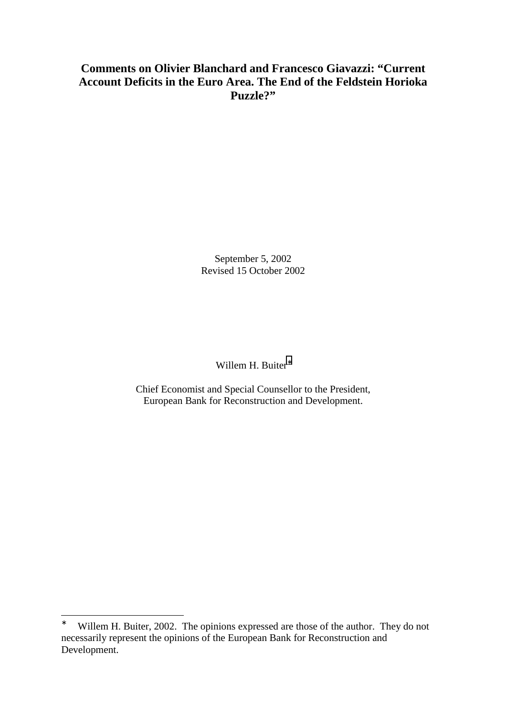# **Comments on Olivier Blanchard and Francesco Giavazzi: "Current Account Deficits in the Euro Area. The End of the Feldstein Horioka Puzzle?"**

September 5, 2002 Revised 15 October 2002

Willem H. Buiter<sup>\*</sup>

Chief Economist and Special Counsellor to the President, European Bank for Reconstruction and Development.

 $\overline{a}$ 

<sup>∗</sup> Willem H. Buiter, 2002. The opinions expressed are those of the author. They do not necessarily represent the opinions of the European Bank for Reconstruction and Development.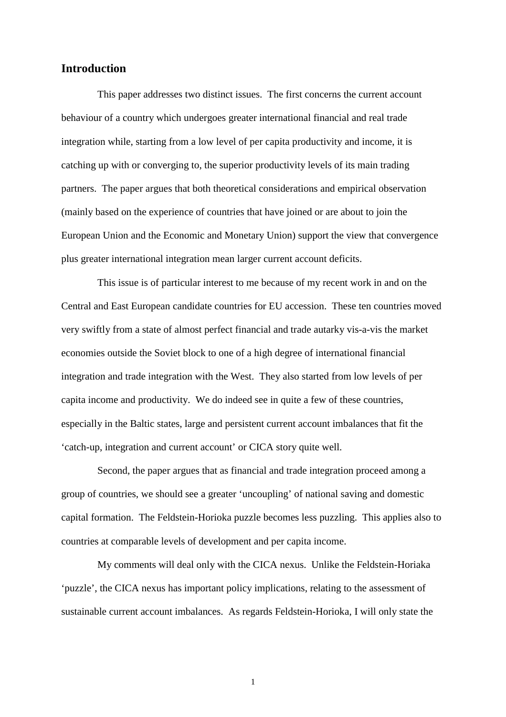### **Introduction**

This paper addresses two distinct issues. The first concerns the current account behaviour of a country which undergoes greater international financial and real trade integration while, starting from a low level of per capita productivity and income, it is catching up with or converging to, the superior productivity levels of its main trading partners. The paper argues that both theoretical considerations and empirical observation (mainly based on the experience of countries that have joined or are about to join the European Union and the Economic and Monetary Union) support the view that convergence plus greater international integration mean larger current account deficits.

This issue is of particular interest to me because of my recent work in and on the Central and East European candidate countries for EU accession. These ten countries moved very swiftly from a state of almost perfect financial and trade autarky vis-a-vis the market economies outside the Soviet block to one of a high degree of international financial integration and trade integration with the West. They also started from low levels of per capita income and productivity. We do indeed see in quite a few of these countries, especially in the Baltic states, large and persistent current account imbalances that fit the 'catch-up, integration and current account' or CICA story quite well.

Second, the paper argues that as financial and trade integration proceed among a group of countries, we should see a greater 'uncoupling' of national saving and domestic capital formation. The Feldstein-Horioka puzzle becomes less puzzling. This applies also to countries at comparable levels of development and per capita income.

My comments will deal only with the CICA nexus. Unlike the Feldstein-Horiaka 'puzzle', the CICA nexus has important policy implications, relating to the assessment of sustainable current account imbalances. As regards Feldstein-Horioka, I will only state the

1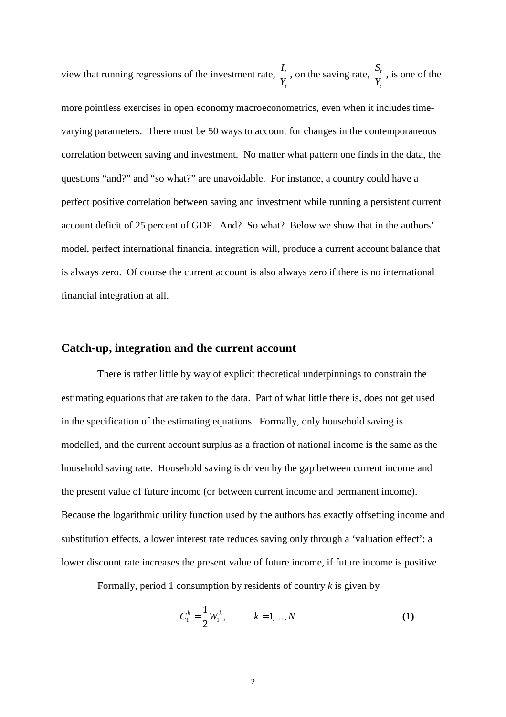<span id="page-2-0"></span>view that running regressions of the investment rate,  $\frac{t}{r}$ *t*  $\frac{I_t}{Y_t}$ , on the saving rate,  $\frac{S_t}{Y_t}$  $\frac{S_t}{Y_t}$ , is one of the more pointless exercises in open economy macroeconometrics, even when it includes timevarying parameters. There must be 50 ways to account for changes in the contemporaneous correlation between saving and investment. No matter what pattern one finds in the data, the questions "and?" and "so what?" are unavoidable. For instance, a country could have a perfect positive correlation between saving and investment while running a persistent current account deficit of 25 percent of GDP. And? So what? Below we show that in the authors' model, perfect international financial integration will, produce a current account balance that is always zero. Of course the current account is also always zero if there is no international financial integration at all.

#### **Catch-up, integration and the current account**

There is rather little by way of explicit theoretical underpinnings to constrain the estimating equations that are taken to the data. Part of what little there is, does not get used in the specification of the estimating equations. Formally, only household saving is modelled, and the current account surplus as a fraction of national income is the same as the household saving rate. Household saving is driven by the gap between current income and the present value of future income (or between current income and permanent income). Because the logarithmic utility function used by the authors has exactly offsetting income and substitution effects, a lower interest rate reduces saving only through a 'valuation effect': a lower discount rate increases the present value of future income, if future income is positive.

Formally, period 1 consumption by residents of country *k* is given by

$$
C_1^k = \frac{1}{2} W_1^k, \qquad k = 1, ..., N
$$
 (1)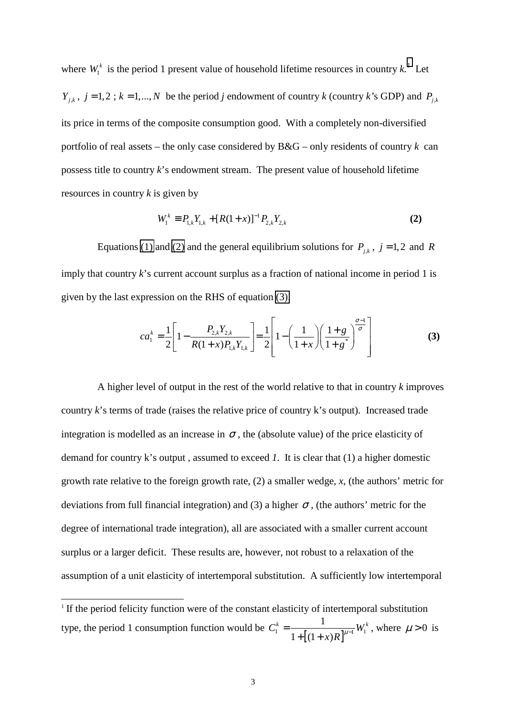<span id="page-3-0"></span>where  $W_i^k$  is the period 1 present value of household lifetime resources in country  $k$ .<sup>*1*</sup> Let  $Y_{j,k}$ ,  $j = 1,2$ ;  $k = 1,..., N$  be the period *j* endowment of country *k* (country *k*'s GDP) and  $P_{j,k}$ its price in terms of the composite consumption good. With a completely non-diversified portfolio of real assets – the only case considered by B&G – only residents of country *k* can possess title to country *k*'s endowment stream. The present value of household lifetime resources in country *k* is given by

$$
W_1^k \equiv P_{1,k} Y_{1,k} + [R(1+x)]^{-1} P_{2,k} Y_{2,k}
$$
 (2)

Equations [\(1\)](#page-2-0) and (2) and the general equilibrium solutions for  $P_{j,k}$ ,  $j = 1,2$  and *R* imply that country *k*'s current account surplus as a fraction of national income in period 1 is given by the last expression on the RHS of equation (3).

$$
ca_1^k = \frac{1}{2} \left[ 1 - \frac{P_{2,k} Y_{2,k}}{R(1+x)P_{1,k} Y_{1,k}} \right] = \frac{1}{2} \left[ 1 - \left( \frac{1}{1+x} \right) \left( \frac{1+g}{1+g^*} \right)^{\frac{\sigma-1}{\sigma}} \right]
$$
(3)

A higher level of output in the rest of the world relative to that in country *k* improves country *k*'s terms of trade (raises the relative price of country k's output). Increased trade integration is modelled as an increase in  $\sigma$ , the (absolute value) of the price elasticity of demand for country k's output , assumed to exceed *1*. It is clear that (1) a higher domestic growth rate relative to the foreign growth rate, (2) a smaller wedge, *x*, (the authors' metric for deviations from full financial integration) and (3) a higher  $\sigma$ , (the authors' metric for the degree of international trade integration), all are associated with a smaller current account surplus or a larger deficit. These results are, however, not robust to a relaxation of the assumption of a unit elasticity of intertemporal substitution. A sufficiently low intertemporal

 $\overline{a}$ 

 $1$  If the period felicity function were of the constant elasticity of intertemporal substitution type, the period 1 consumption function would be  $C_1^k = \frac{1}{1 + [(1 + x)R]^{\mu-1}} W_1$  $1 + [(1 + x)]$  $C_1^k = \frac{1}{1 + [(1 + x)R]^{\mu-1}} W_1^k$ , where  $\mu > 0$  is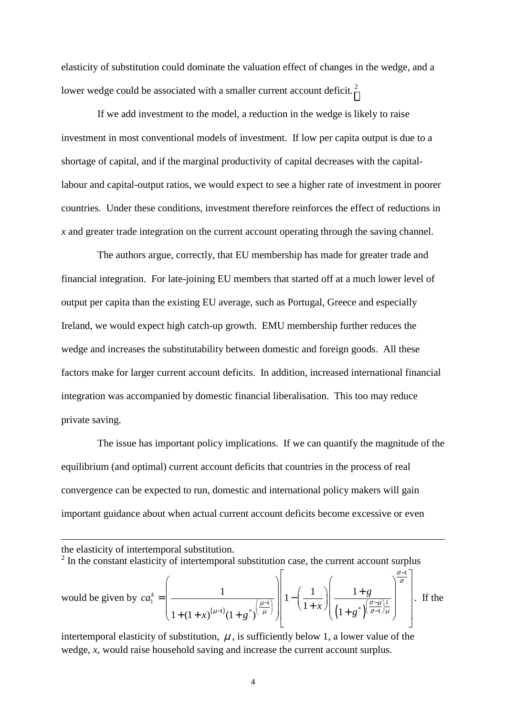elasticity of substitution could dominate the valuation effect of changes in the wedge, and a lower wedge could be associated with a smaller current account deficit.<sup>2</sup>

If we add investment to the model, a reduction in the wedge is likely to raise investment in most conventional models of investment. If low per capita output is due to a shortage of capital, and if the marginal productivity of capital decreases with the capitallabour and capital-output ratios, we would expect to see a higher rate of investment in poorer countries. Under these conditions, investment therefore reinforces the effect of reductions in *x* and greater trade integration on the current account operating through the saving channel.

The authors argue, correctly, that EU membership has made for greater trade and financial integration. For late-joining EU members that started off at a much lower level of output per capita than the existing EU average, such as Portugal, Greece and especially Ireland, we would expect high catch-up growth. EMU membership further reduces the wedge and increases the substitutability between domestic and foreign goods. All these factors make for larger current account deficits. In addition, increased international financial integration was accompanied by domestic financial liberalisation. This too may reduce private saving.

The issue has important policy implications. If we can quantify the magnitude of the equilibrium (and optimal) current account deficits that countries in the process of real convergence can be expected to run, domestic and international policy makers will gain important guidance about when actual current account deficits become excessive or even

the elasticity of intertemporal substitution.

 $\overline{a}$ 

 $2 \text{ In the constant elasticity of intertemporal substitution case, the current account surplus}$ 

would be given by 
$$
ca_1^k = \left(\frac{1}{1 + (1 + x)^{(\mu-1)}(1 + g^*)^{\left(\frac{\mu-1}{\mu}\right)}}\right)\left[1 - \left(\frac{1}{1 + x}\right)\left(\frac{1 + g}{(1 + g^*)^{\left(\frac{\sigma - \mu}{\sigma - 1}\right)\frac{1}{\mu}}}\right)\right]
$$
. If the

intertemporal elasticity of substitution,  $\mu$ , is sufficiently below 1, a lower value of the wedge, *x*, would raise household saving and increase the current account surplus.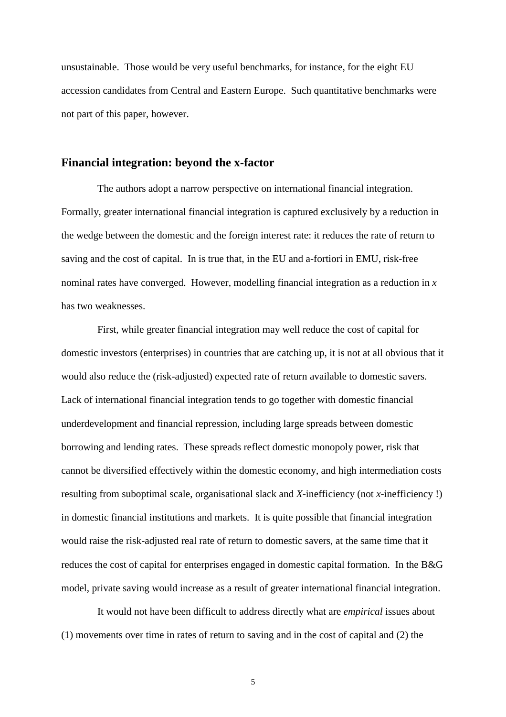unsustainable. Those would be very useful benchmarks, for instance, for the eight EU accession candidates from Central and Eastern Europe. Such quantitative benchmarks were not part of this paper, however.

## **Financial integration: beyond the x-factor**

The authors adopt a narrow perspective on international financial integration. Formally, greater international financial integration is captured exclusively by a reduction in the wedge between the domestic and the foreign interest rate: it reduces the rate of return to saving and the cost of capital. In is true that, in the EU and a-fortiori in EMU, risk-free nominal rates have converged. However, modelling financial integration as a reduction in *x* has two weaknesses.

First, while greater financial integration may well reduce the cost of capital for domestic investors (enterprises) in countries that are catching up, it is not at all obvious that it would also reduce the (risk-adjusted) expected rate of return available to domestic savers. Lack of international financial integration tends to go together with domestic financial underdevelopment and financial repression, including large spreads between domestic borrowing and lending rates. These spreads reflect domestic monopoly power, risk that cannot be diversified effectively within the domestic economy, and high intermediation costs resulting from suboptimal scale, organisational slack and *X*-inefficiency (not *x*-inefficiency !) in domestic financial institutions and markets. It is quite possible that financial integration would raise the risk-adjusted real rate of return to domestic savers, at the same time that it reduces the cost of capital for enterprises engaged in domestic capital formation. In the B&G model, private saving would increase as a result of greater international financial integration.

It would not have been difficult to address directly what are *empirical* issues about (1) movements over time in rates of return to saving and in the cost of capital and (2) the

5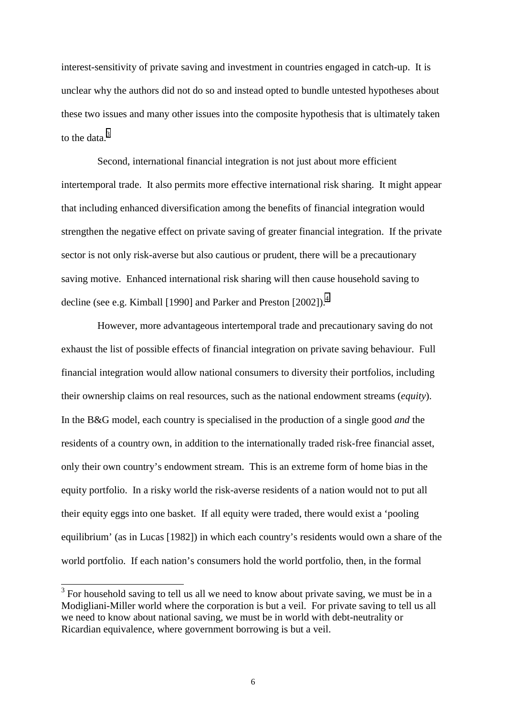interest-sensitivity of private saving and investment in countries engaged in catch-up. It is unclear why the authors did not do so and instead opted to bundle untested hypotheses about these two issues and many other issues into the composite hypothesis that is ultimately taken to the data. $3$ 

Second, international financial integration is not just about more efficient intertemporal trade. It also permits more effective international risk sharing. It might appear that including enhanced diversification among the benefits of financial integration would strengthen the negative effect on private saving of greater financial integration. If the private sector is not only risk-averse but also cautious or prudent, there will be a precautionary saving motive. Enhanced international risk sharing will then cause household saving to decline (see e.g. Kimball [1990] and Parker and Preston [2002]).<sup>4</sup>

However, more advantageous intertemporal trade and precautionary saving do not exhaust the list of possible effects of financial integration on private saving behaviour. Full financial integration would allow national consumers to diversity their portfolios, including their ownership claims on real resources, such as the national endowment streams (*equity*). In the B&G model, each country is specialised in the production of a single good *and* the residents of a country own, in addition to the internationally traded risk-free financial asset, only their own country's endowment stream. This is an extreme form of home bias in the equity portfolio. In a risky world the risk-averse residents of a nation would not to put all their equity eggs into one basket. If all equity were traded, there would exist a 'pooling equilibrium' (as in Lucas [1982]) in which each country's residents would own a share of the world portfolio. If each nation's consumers hold the world portfolio, then, in the formal

 $\frac{3}{3}$  For household saving to tell us all we need to know about private saving, we must be in a Modigliani-Miller world where the corporation is but a veil. For private saving to tell us all we need to know about national saving, we must be in world with debt-neutrality or Ricardian equivalence, where government borrowing is but a veil.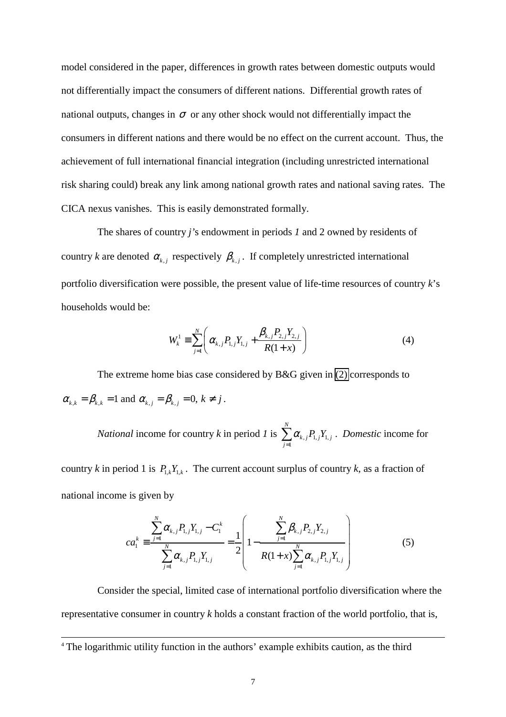model considered in the paper, differences in growth rates between domestic outputs would not differentially impact the consumers of different nations. Differential growth rates of national outputs, changes in  $\sigma$  or any other shock would not differentially impact the consumers in different nations and there would be no effect on the current account. Thus, the achievement of full international financial integration (including unrestricted international risk sharing could) break any link among national growth rates and national saving rates. The CICA nexus vanishes. This is easily demonstrated formally.

The shares of country *j'*s endowment in periods *1* and 2 owned by residents of country *k* are denoted  $\alpha_{k,j}$  respectively  $\beta_{k,j}$ . If completely unrestricted international portfolio diversification were possible, the present value of life-time resources of country *k*'s households would be:

$$
W_k^1 = \sum_{j=1}^N \left( \alpha_{k,j} P_{1,j} Y_{1,j} + \frac{\beta_{k,j} P_{2,j} Y_{2,j}}{R(1+x)} \right)
$$
(4)

The extreme home bias case considered by B&G given in [\(2\)](#page-3-0) corresponds to  $\alpha_{k,k} = \beta_{k,k} = 1$  and  $\alpha_{k,j} = \beta_{k,j} = 0, k \neq j$ .

*National* income for country *k* in period *1* is  $\sum \alpha_{k,j} P_{1,j} Y_{1,j}$ 1 *N*  $k, j$   $\blacksquare$  1,  $j$   $\blacksquare$  1,  $j$ *j*  $\alpha_{k}$   $_iP_{1}$   $_iY$ =  $\sum_{k} \alpha_{k,j} P_{1,j} Y_{1,j}$  . *Domestic* income for

country *k* in period 1 is  $P_{1k}Y_{1k}$ . The current account surplus of country *k*, as a fraction of national income is given by

$$
ca_{1}^{k} \equiv \frac{\sum_{j=1}^{N} \alpha_{k,j} P_{1,j} Y_{1,j} - C_{1}^{k}}{\sum_{j=1}^{N} \alpha_{k,j} P_{1,j} Y_{1,j}} = \frac{1}{2} \left( 1 - \frac{\sum_{j=1}^{N} \beta_{k,j} P_{2,j} Y_{2,j}}{R(1+x) \sum_{j=1}^{N} \alpha_{k,j} P_{1,j} Y_{1,j}} \right)
$$
(5)

Consider the special, limited case of international portfolio diversification where the representative consumer in country *k* holds a constant fraction of the world portfolio, that is,

 <sup>4</sup> The logarithmic utility function in the authors' example exhibits caution, as the third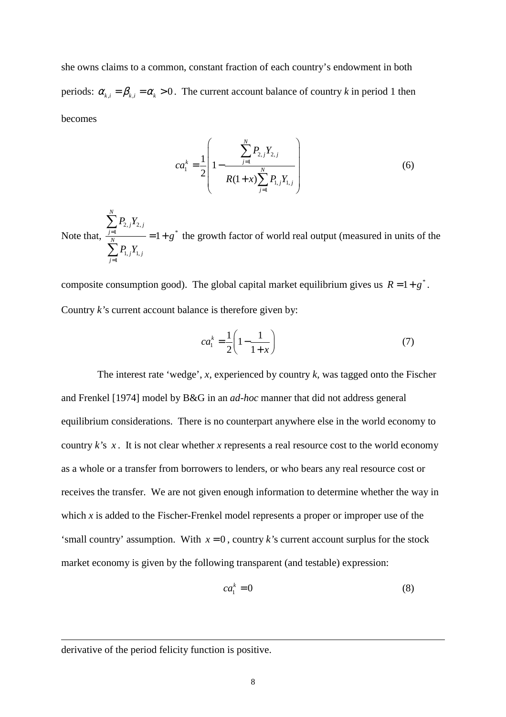she owns claims to a common, constant fraction of each country's endowment in both periods:  $\alpha_{k,i} = \beta_{k,i} = \alpha_k > 0$ . The current account balance of country *k* in period 1 then becomes

$$
ca_{1}^{k} = \frac{1}{2} \left( 1 - \frac{\sum_{j=1}^{N} P_{2,j} Y_{2,j}}{R(1+x) \sum_{j=1}^{N} P_{1,j} Y_{1,j}} \right)
$$
(6)

Note that,  $2, j$ <sup>1</sup> $2,$  $1 \quad -1 \quad s^*$  $1, j$ <sup>1</sup>1, 1 1 *N*  $j^{\prime\prime}$  2,  $j$ *j N*  $j$ <sup> $\blacksquare$ </sup> 1, *j j*  $P_{2}$ <sub>*i</sub>Y*</sub> *g P Y*  $\frac{1}{N}$  = 1 + =  $\sum\limits_{ }^{n}$  $\sum$ the growth factor of world real output (measured in units of the

composite consumption good). The global capital market equilibrium gives us  $R = 1 + g^*$ . Country *k'*s current account balance is therefore given by:

$$
ca_1^k = \frac{1}{2} \left( 1 - \frac{1}{1+x} \right) \tag{7}
$$

The interest rate 'wedge', *x,* experienced by country *k,* was tagged onto the Fischer and Frenkel [1974] model by B&G in an *ad-hoc* manner that did not address general equilibrium considerations. There is no counterpart anywhere else in the world economy to country *k'*s *x* . It is not clear whether *x* represents a real resource cost to the world economy as a whole or a transfer from borrowers to lenders, or who bears any real resource cost or receives the transfer. We are not given enough information to determine whether the way in which *x* is added to the Fischer-Frenkel model represents a proper or improper use of the 'small country' assumption. With  $x = 0$ , country *k*'s current account surplus for the stock market economy is given by the following transparent (and testable) expression:

$$
ca_1^k = 0 \tag{8}
$$

derivative of the period felicity function is positive.

 $\overline{\phantom{a}}$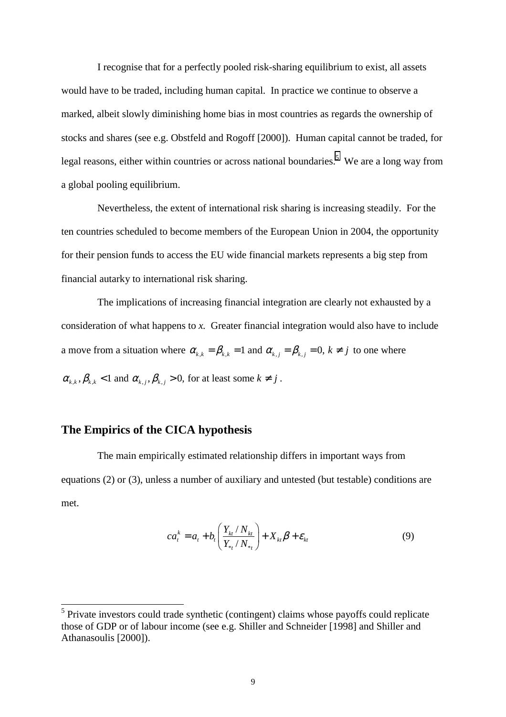<span id="page-9-0"></span>I recognise that for a perfectly pooled risk-sharing equilibrium to exist, all assets would have to be traded, including human capital. In practice we continue to observe a marked, albeit slowly diminishing home bias in most countries as regards the ownership of stocks and shares (see e.g. Obstfeld and Rogoff [2000]). Human capital cannot be traded, for legal reasons, either within countries or across national boundaries.<sup>5</sup> We are a long way from a global pooling equilibrium.

Nevertheless, the extent of international risk sharing is increasing steadily. For the ten countries scheduled to become members of the European Union in 2004, the opportunity for their pension funds to access the EU wide financial markets represents a big step from financial autarky to international risk sharing.

The implications of increasing financial integration are clearly not exhausted by a consideration of what happens to *x.* Greater financial integration would also have to include a move from a situation where  $\alpha_{k,k} = \beta_{k,k} = 1$  and  $\alpha_{k,j} = \beta_{k,j} = 0$ ,  $k \neq j$  to one where  $\alpha_{k,k}, \beta_{k,k} < 1$  and  $\alpha_{k,i}, \beta_{k,i} > 0$ , for at least some  $k \neq j$ .

### **The Empirics of the CICA hypothesis**

The main empirically estimated relationship differs in important ways from equations (2) or (3), unless a number of auxiliary and untested (but testable) conditions are met.

$$
ca_t^k = a_t + b_t \left( \frac{Y_{kt} / N_{kt}}{Y_{*t} / N_{*t}} \right) + X_{kt} \beta + \varepsilon_{kt}
$$
 (9)

<sup>&</sup>lt;sup>5</sup><br><sup>5</sup> Private investors could trade synthetic (contingent) claims whose payoffs could replicate those of GDP or of labour income (see e.g. Shiller and Schneider [1998] and Shiller and Athanasoulis [2000]).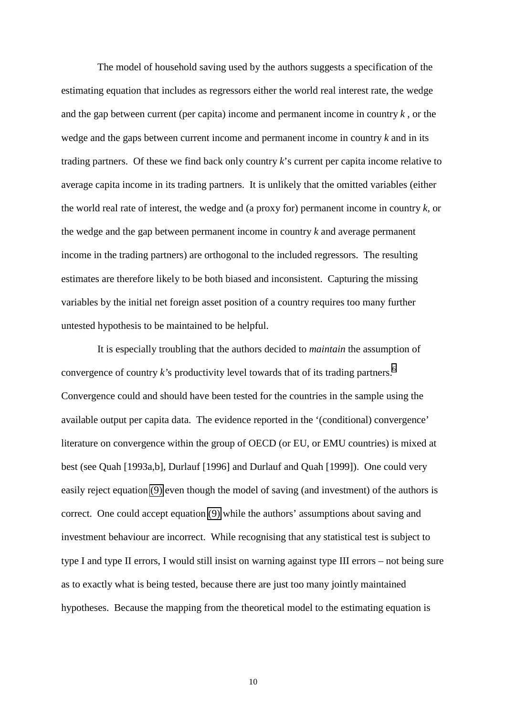The model of household saving used by the authors suggests a specification of the estimating equation that includes as regressors either the world real interest rate, the wedge and the gap between current (per capita) income and permanent income in country *k* , or the wedge and the gaps between current income and permanent income in country *k* and in its trading partners. Of these we find back only country *k*'s current per capita income relative to average capita income in its trading partners. It is unlikely that the omitted variables (either the world real rate of interest, the wedge and (a proxy for) permanent income in country *k,* or the wedge and the gap between permanent income in country *k* and average permanent income in the trading partners) are orthogonal to the included regressors. The resulting estimates are therefore likely to be both biased and inconsistent. Capturing the missing variables by the initial net foreign asset position of a country requires too many further untested hypothesis to be maintained to be helpful.

It is especially troubling that the authors decided to *maintain* the assumption of convergence of country  $k$ 's productivity level towards that of its trading partners.<sup>6</sup> Convergence could and should have been tested for the countries in the sample using the available output per capita data. The evidence reported in the '(conditional) convergence' literature on convergence within the group of OECD (or EU, or EMU countries) is mixed at best (see Quah [1993a,b], Durlauf [1996] and Durlauf and Quah [1999]). One could very easily reject equation [\(9\)](#page-9-0) even though the model of saving (and investment) of the authors is correct. One could accept equation [\(9\)](#page-9-0) while the authors' assumptions about saving and investment behaviour are incorrect. While recognising that any statistical test is subject to type I and type II errors, I would still insist on warning against type III errors – not being sure as to exactly what is being tested, because there are just too many jointly maintained hypotheses. Because the mapping from the theoretical model to the estimating equation is

10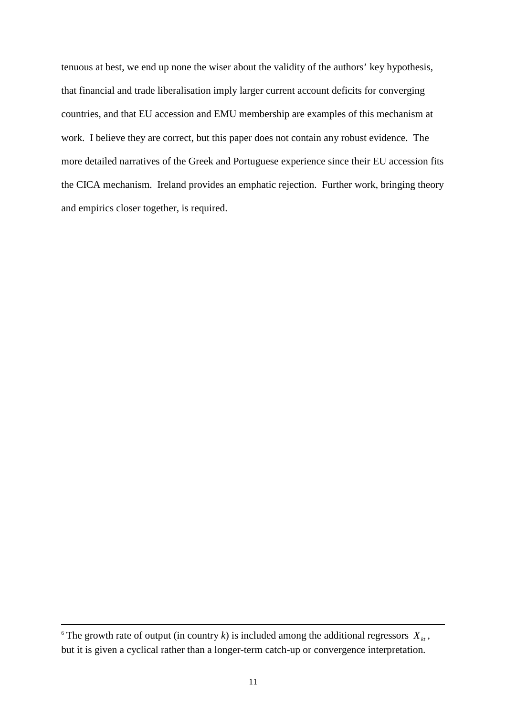tenuous at best, we end up none the wiser about the validity of the authors' key hypothesis, that financial and trade liberalisation imply larger current account deficits for converging countries, and that EU accession and EMU membership are examples of this mechanism at work. I believe they are correct, but this paper does not contain any robust evidence. The more detailed narratives of the Greek and Portuguese experience since their EU accession fits the CICA mechanism. Ireland provides an emphatic rejection. Further work, bringing theory and empirics closer together, is required.

 $\overline{\phantom{a}}$ 

<sup>&</sup>lt;sup>6</sup> The growth rate of output (in country *k*) is included among the additional regressors  $X_{kt}$ , but it is given a cyclical rather than a longer-term catch-up or convergence interpretation.